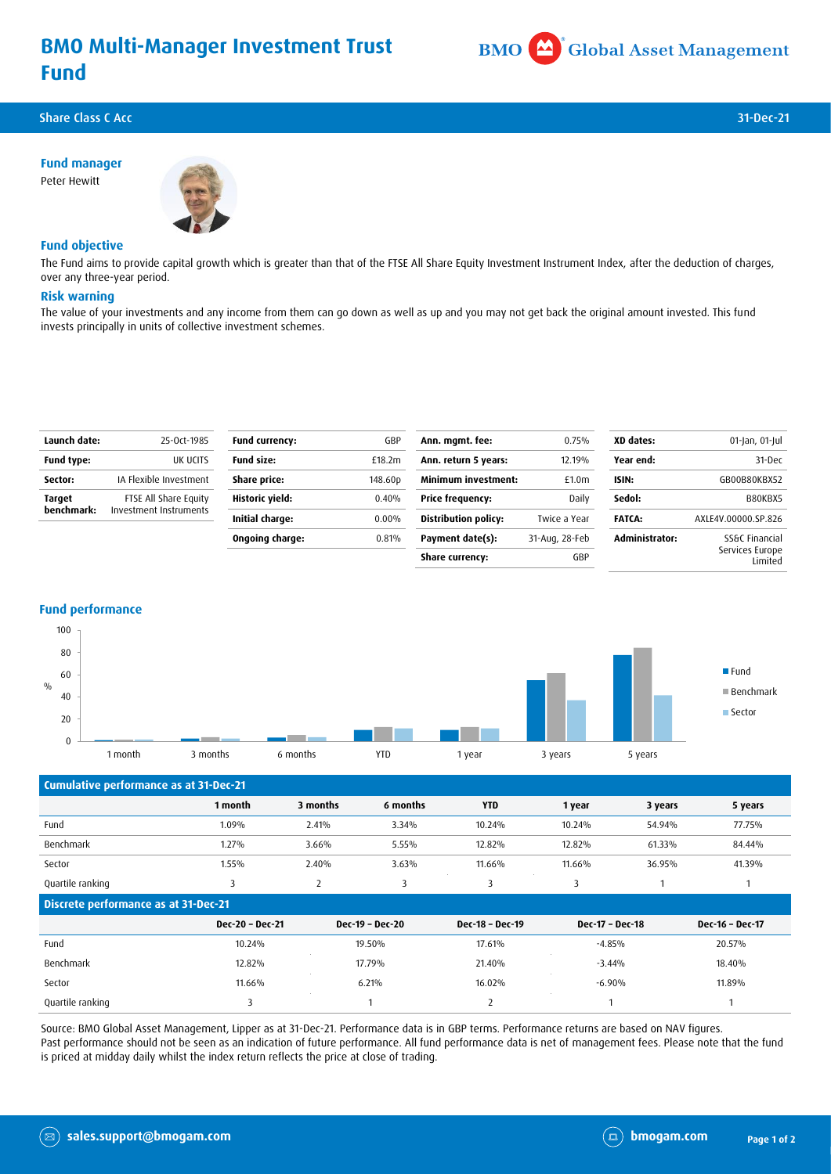# **BMO Multi-Manager Investment Trust Fund**



Share Class C Acc 31-Dec-21 **Share Class C Acc 31-Dec-21 31-Dec-21** 

**Fund manager** Peter Hewitt



# **Fund objective**

The Fund aims to provide capital growth which is greater than that of the FTSE All Share Equity Investment Instrument Index, after the deduction of charges, over any three-year period.

### **Risk warning**

The value of your investments and any income from them can go down as well as up and you may not get back the original amount invested. This fund invests principally in units of collective investment schemes.

| Launch date:         | 25-Oct-1985                                     | <b>Fund currency:</b> | GBP      | Ann. mgmt. fee:             | 0.75%             | XD dates:      | 01-Jan, 01-Jul             |
|----------------------|-------------------------------------------------|-----------------------|----------|-----------------------------|-------------------|----------------|----------------------------|
| <b>Fund type:</b>    | UK UCITS                                        | <b>Fund size:</b>     | £18.2m   | Ann. return 5 years:        | 12.19%            | Year end:      | 31-Dec                     |
| Sector:              | IA Flexible Investment                          | Share price:          | 148.60p  | <b>Minimum investment:</b>  | £1.0 <sub>m</sub> | ISIN:          | GB00B80KBX52               |
| Target<br>benchmark: | FTSE All Share Equity<br>Investment Instruments | Historic yield:       | 0.40%    | Price frequency:            | Daily             | Sedol:         | B80KBX5                    |
|                      |                                                 | Initial charge:       | $0.00\%$ | <b>Distribution policy:</b> | Twice a Year      | <b>FATCA:</b>  | AXLE4V.00000.SP.826        |
|                      |                                                 | Ongoing charge:       | 0.81%    | Payment date(s):            | 31-Aug, 28-Feb    | Administrator: | SS&C Financial             |
|                      |                                                 |                       |          | <b>Share currency:</b>      | GBP               |                | Services Europe<br>Limited |

### **Fund performance**



| Cumulative performance as at 31-Dec-21 |                 |          |                 |                 |                 |         |                 |
|----------------------------------------|-----------------|----------|-----------------|-----------------|-----------------|---------|-----------------|
|                                        | 1 month         | 3 months | 6 months        | <b>YTD</b>      | 1 year          | 3 years | 5 years         |
| Fund                                   | 1.09%           | 2.41%    | 3.34%           | 10.24%          | 10.24%          | 54.94%  | 77.75%          |
| Benchmark                              | 1.27%           | 3.66%    | 5.55%           | 12.82%          | 12.82%          | 61.33%  | 84.44%          |
| Sector                                 | 1.55%           | 2.40%    | 3.63%           | 11.66%          | 11.66%          | 36.95%  | 41.39%          |
| Quartile ranking                       | 3               | 2        | 3               | 3               | 3               |         |                 |
| Discrete performance as at 31-Dec-21   |                 |          |                 |                 |                 |         |                 |
|                                        | Dec-20 - Dec-21 |          | Dec-19 - Dec-20 | Dec-18 - Dec-19 | Dec-17 - Dec-18 |         | Dec-16 - Dec-17 |
| Fund                                   | 10.24%          |          | 19.50%          | 17.61%          | $-4.85%$        |         | 20.57%          |
| Benchmark                              | 12.82%          |          | 17.79%          | 21.40%          | $-3.44%$        |         | 18.40%          |
| Sector                                 | 11.66%          |          | 6.21%           | 16.02%          | $-6.90%$        |         | 11.89%          |
| Quartile ranking                       | 3               |          |                 | 2               |                 |         |                 |

Source: BMO Global Asset Management, Lipper as at 31-Dec-21. Performance data is in GBP terms. Performance returns are based on NAV figures. Past performance should not be seen as an indication of future performance. All fund performance data is net of management fees. Please note that the fund is priced at midday daily whilst the index return reflects the price at close of trading.

 $(\boxtimes)$